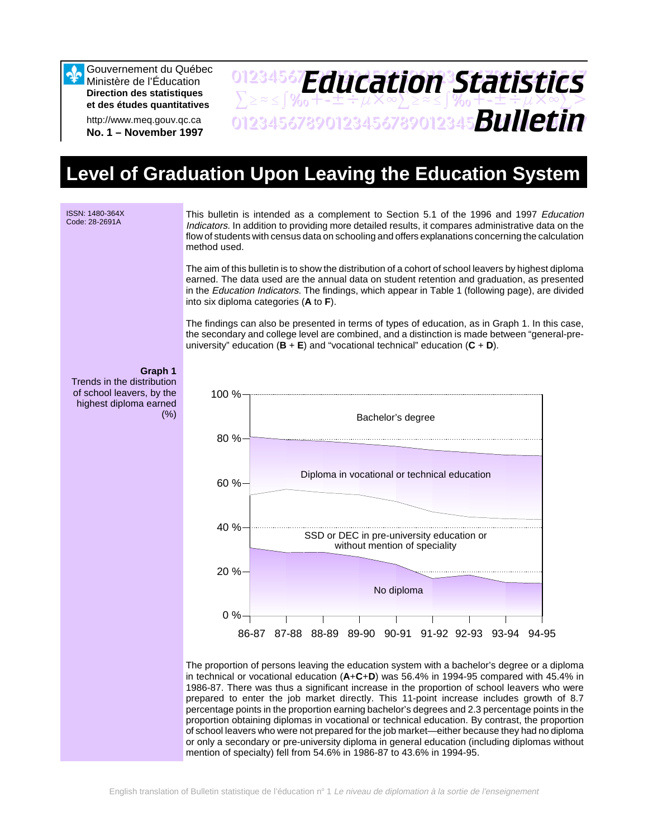Gouvernement du Québec Ministère de l'Éducation **Direction des statistiques et des études quantitatives**

http://www.meq.gouv.qc.ca **No. 1 – November 1997**

### 01234567**F***Anri Stion Statictice*  $\sum \geq$  $\approx$   $\frac{1}{2}$ %<sub>0</sub> + + ± ÷  $\mu$  X  $\infty$   $\geq$   $\approx$   $\frac{1}{2}$  %<sub>0</sub> + + ± ÷  $\mu$  X  $\infty$   $\geq$  > 01234567890123456789012345678901234567 *Bulletin Education Statistics*

# **Level of Graduation Upon Leaving the Education System**

**ISSN: 1480-364X**<br>Code: 28-2691A

This bulletin is intended as a complement to Section 5.1 of the 1996 and 1997 Education Indicators. In addition to providing more detailed results, it compares administrative data on the flow of students with census data on schooling and offers explanations concerning the calculation method used.

The aim of this bulletin is to show the distribution of a cohort of school leavers by highest diploma earned. The data used are the annual data on student retention and graduation, as presented in the *Education Indicators*. The findings, which appear in Table 1 (following page), are divided into six diploma categories (**A** to **F**).

The findings can also be presented in terms of types of education, as in Graph 1. In this case, the secondary and college level are combined, and a distinction is made between "general-preuniversity" education (**B** + **E**) and "vocational technical" education (**C** + **D**).

### **Graph 1**

Trends in the distribution of school leavers, by the highest diploma earned (%)



The proportion of persons leaving the education system with a bachelor's degree or a diploma in technical or vocational education (**A**+**C**+**D**) was 56.4% in 1994-95 compared with 45.4% in 1986-87. There was thus a significant increase in the proportion of school leavers who were prepared to enter the job market directly. This 11-point increase includes growth of 8.7 percentage points in the proportion earning bachelor's degrees and 2.3 percentage points in the proportion obtaining diplomas in vocational or technical education. By contrast, the proportion of school leavers who were not prepared for the job market—either because they had no diploma or only a secondary or pre-university diploma in general education (including diplomas without mention of specialty) fell from 54.6% in 1986-87 to 43.6% in 1994-95.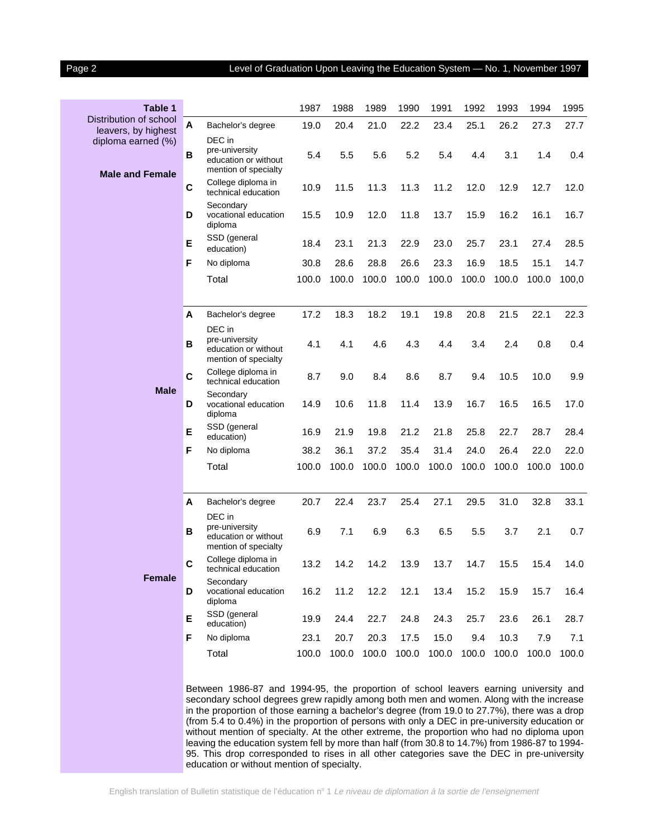### Page 2 **Level of Graduation Upon Leaving the Education System - No. 1, November 1997**

| Table 1                                       |             |                                                                          | 1987  | 1988  | 1989  | 1990  | 1991  | 1992  | 1993  | 1994        | 1995  |
|-----------------------------------------------|-------------|--------------------------------------------------------------------------|-------|-------|-------|-------|-------|-------|-------|-------------|-------|
| Distribution of school<br>leavers, by highest | A           | Bachelor's degree                                                        | 19.0  | 20.4  | 21.0  | 22.2  | 23.4  | 25.1  | 26.2  | 27.3        | 27.7  |
| diploma earned (%)<br><b>Male and Female</b>  | B           | DEC in<br>pre-university<br>education or without<br>mention of specialty | 5.4   | 5.5   | 5.6   | 5.2   | 5.4   | 4.4   | 3.1   | 1.4         | 0.4   |
|                                               | $\mathbf c$ | College diploma in<br>technical education                                | 10.9  | 11.5  | 11.3  | 11.3  | 11.2  | 12.0  | 12.9  | 12.7        | 12.0  |
|                                               | D           | Secondary<br>vocational education<br>diploma                             | 15.5  | 10.9  | 12.0  | 11.8  | 13.7  | 15.9  | 16.2  | 16.1        | 16.7  |
|                                               | Е           | SSD (general<br>education)                                               | 18.4  | 23.1  | 21.3  | 22.9  | 23.0  | 25.7  | 23.1  | 27.4        | 28.5  |
|                                               | F           | No diploma                                                               | 30.8  | 28.6  | 28.8  | 26.6  | 23.3  | 16.9  | 18.5  | 15.1        | 14.7  |
|                                               |             | Total                                                                    | 100.0 | 100.0 | 100.0 | 100.0 | 100.0 | 100.0 | 100.0 | 100.0       | 100,0 |
|                                               |             |                                                                          |       |       |       |       |       |       |       |             |       |
| <b>Male</b>                                   | A           | Bachelor's degree                                                        | 17.2  | 18.3  | 18.2  | 19.1  | 19.8  | 20.8  | 21.5  | 22.1        | 22.3  |
|                                               | В           | DEC in<br>pre-university<br>education or without<br>mention of specialty | 4.1   | 4.1   | 4.6   | 4.3   | 4.4   | 3.4   | 2.4   | 0.8         | 0.4   |
|                                               | $\mathbf c$ | College diploma in<br>technical education                                | 8.7   | 9.0   | 8.4   | 8.6   | 8.7   | 9.4   | 10.5  | 10.0        | 9.9   |
|                                               | D           | Secondarv<br>vocational education<br>diploma                             | 14.9  | 10.6  | 11.8  | 11.4  | 13.9  | 16.7  | 16.5  | 16.5        | 17.0  |
|                                               | Е           | SSD (general<br>education)                                               | 16.9  | 21.9  | 19.8  | 21.2  | 21.8  | 25.8  | 22.7  | 28.7        | 28.4  |
|                                               | F           | No diploma                                                               | 38.2  | 36.1  | 37.2  | 35.4  | 31.4  | 24.0  | 26.4  | 22.0        | 22.0  |
|                                               |             | Total                                                                    | 100.0 | 100.0 | 100.0 | 100.0 | 100.0 | 100.0 | 100.0 | 100.0       | 100.0 |
|                                               |             |                                                                          |       |       |       |       |       |       |       |             |       |
| <b>Female</b>                                 | A           | Bachelor's degree<br>DEC in                                              | 20.7  | 22.4  | 23.7  | 25.4  | 27.1  | 29.5  | 31.0  | 32.8        | 33.1  |
|                                               | В           | pre-university<br>education or without<br>mention of specialty           | 6.9   | 7.1   | 6.9   | 6.3   | 6.5   | 5.5   | 3.7   | 2.1         | 0.7   |
|                                               | $\mathbf c$ | College diploma in<br>technical education                                | 13.2  | 14.2  | 14.2  | 13.9  | 13.7  | 14.7  | 15.5  | 15.4        | 14.0  |
|                                               | D           | Secondary<br>vocational education<br>diploma                             | 16.2  | 11.2  | 12.2  | 12.1  | 13.4  | 15.2  | 15.9  | 15.7        | 16.4  |
|                                               | Е           | SSD (general<br>education)                                               | 19.9  | 24.4  | 22.7  | 24.8  | 24.3  | 25.7  | 23.6  | 26.1        | 28.7  |
|                                               | F           | No diploma                                                               | 23.1  | 20.7  | 20.3  | 17.5  | 15.0  | 9.4   | 10.3  | 7.9         | 7.1   |
|                                               |             | Total                                                                    | 100.0 | 100.0 | 100.0 | 100.0 | 100.0 | 100.0 |       | 100.0 100.0 | 100.0 |
|                                               |             |                                                                          |       |       |       |       |       |       |       |             |       |

Between 1986-87 and 1994-95, the proportion of school leavers earning university and secondary school degrees grew rapidly among both men and women. Along with the increase in the proportion of those earning a bachelor's degree (from 19.0 to 27.7%), there was a drop (from 5.4 to 0.4%) in the proportion of persons with only a DEC in pre-university education or without mention of specialty. At the other extreme, the proportion who had no diploma upon leaving the education system fell by more than half (from 30.8 to 14.7%) from 1986-87 to 1994- 95. This drop corresponded to rises in all other categories save the DEC in pre-university education or without mention of specialty.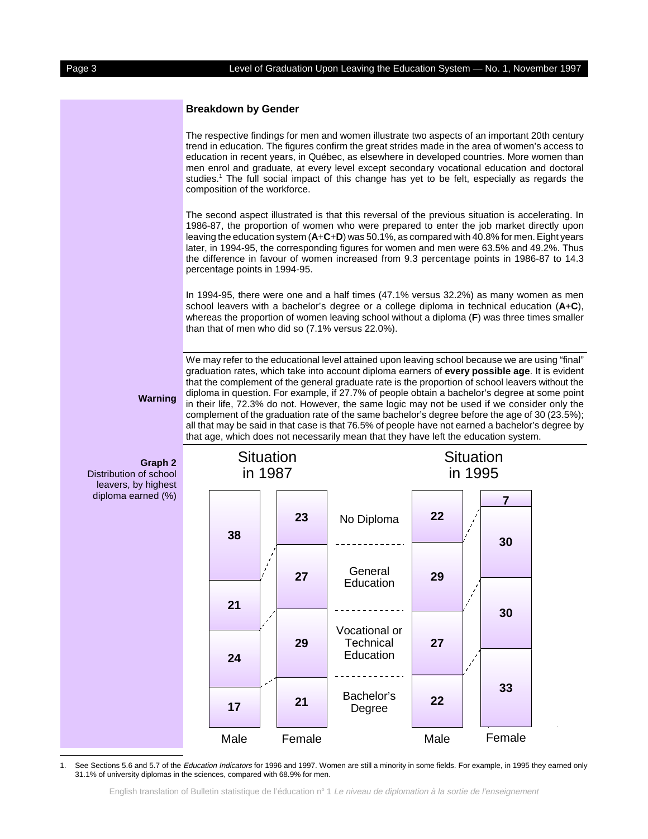### **Breakdown by Gender**

The respective findings for men and women illustrate two aspects of an important 20th century trend in education. The figures confirm the great strides made in the area of women's access to education in recent years, in Québec, as elsewhere in developed countries. More women than men enrol and graduate, at every level except secondary vocational education and doctoral studies.<sup>1</sup> The full social impact of this change has yet to be felt, especially as regards the composition of the workforce.

The second aspect illustrated is that this reversal of the previous situation is accelerating. In 1986-87, the proportion of women who were prepared to enter the job market directly upon leaving the education system (**A**+**C**+**D**) was 50.1%, as compared with 40.8% for men. Eight years later, in 1994-95, the corresponding figures for women and men were 63.5% and 49.2%. Thus the difference in favour of women increased from 9.3 percentage points in 1986-87 to 14.3 percentage points in 1994-95.

In 1994-95, there were one and a half times (47.1% versus 32.2%) as many women as men school leavers with a bachelor's degree or a college diploma in technical education (**A**+**C**), whereas the proportion of women leaving school without a diploma (**F**) was three times smaller than that of men who did so (7.1% versus 22.0%).

We may refer to the educational level attained upon leaving school because we are using "final" graduation rates, which take into account diploma earners of **every possible age**. It is evident that the complement of the general graduate rate is the proportion of school leavers without the diploma in question. For example, if 27.7% of people obtain a bachelor's degree at some point in their life, 72.3% do not. However, the same logic may not be used if we consider only the complement of the graduation rate of the same bachelor's degree before the age of 30 (23.5%); all that may be said in that case is that 76.5% of people have not earned a bachelor's degree by that age, which does not necessarily mean that they have left the education system.

## **Warning**

**Graph 2** Distribution of school leavers, by highest diploma earned (%)



1. See Sections 5.6 and 5.7 of the Education Indicators for 1996 and 1997. Women are still a minority in some fields. For example, in 1995 they earned only 31.1% of university diplomas in the sciences, compared with 68.9% for men.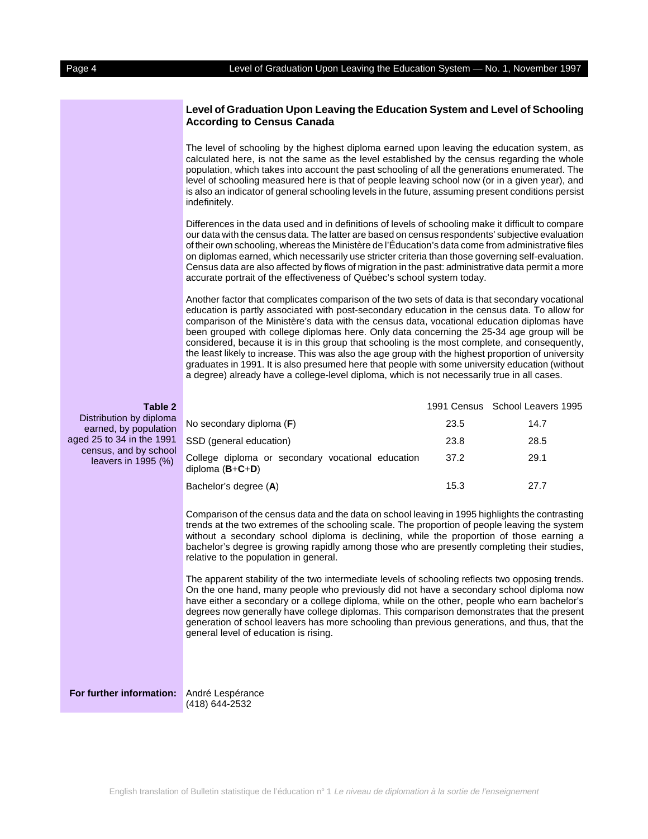### **Level of Graduation Upon Leaving the Education System and Level of Schooling According to Census Canada**

The level of schooling by the highest diploma earned upon leaving the education system, as calculated here, is not the same as the level established by the census regarding the whole population, which takes into account the past schooling of all the generations enumerated. The level of schooling measured here is that of people leaving school now (or in a given year), and is also an indicator of general schooling levels in the future, assuming present conditions persist indefinitely.

Differences in the data used and in definitions of levels of schooling make it difficult to compare our data with the census data. The latter are based on census respondents' subjective evaluation of their own schooling, whereas the Ministère de l'Éducation's data come from administrative files on diplomas earned, which necessarily use stricter criteria than those governing self-evaluation. Census data are also affected by flows of migration in the past: administrative data permit a more accurate portrait of the effectiveness of Québec's school system today.

Another factor that complicates comparison of the two sets of data is that secondary vocational education is partly associated with post-secondary education in the census data. To allow for comparison of the Ministère's data with the census data, vocational education diplomas have been grouped with college diplomas here. Only data concerning the 25-34 age group will be considered, because it is in this group that schooling is the most complete, and consequently, the least likely to increase. This was also the age group with the highest proportion of university graduates in 1991. It is also presumed here that people with some university education (without a degree) already have a college-level diploma, which is not necessarily true in all cases.

| Table 2                                                                                                                         |                                                                        |      | 1991 Census School Leavers 1995 |
|---------------------------------------------------------------------------------------------------------------------------------|------------------------------------------------------------------------|------|---------------------------------|
| Distribution by diploma<br>earned, by population<br>aged 25 to 34 in the 1991<br>census, and by school<br>leavers in $1995$ (%) | No secondary diploma (F)                                               | 23.5 | 14.7                            |
|                                                                                                                                 | SSD (general education)                                                | 23.8 | 28.5                            |
|                                                                                                                                 | College diploma or secondary vocational education<br>diploma $(B+C+D)$ | 37.2 | 29.1                            |
|                                                                                                                                 | Bachelor's degree (A)                                                  | 15.3 | 27.7                            |
|                                                                                                                                 |                                                                        |      |                                 |

Comparison of the census data and the data on school leaving in 1995 highlights the contrasting trends at the two extremes of the schooling scale. The proportion of people leaving the system without a secondary school diploma is declining, while the proportion of those earning a bachelor's degree is growing rapidly among those who are presently completing their studies, relative to the population in general.

The apparent stability of the two intermediate levels of schooling reflects two opposing trends. On the one hand, many people who previously did not have a secondary school diploma now have either a secondary or a college diploma, while on the other, people who earn bachelor's degrees now generally have college diplomas. This comparison demonstrates that the present generation of school leavers has more schooling than previous generations, and thus, that the general level of education is rising.

**For further information:** André Lespérance

(418) 644-2532